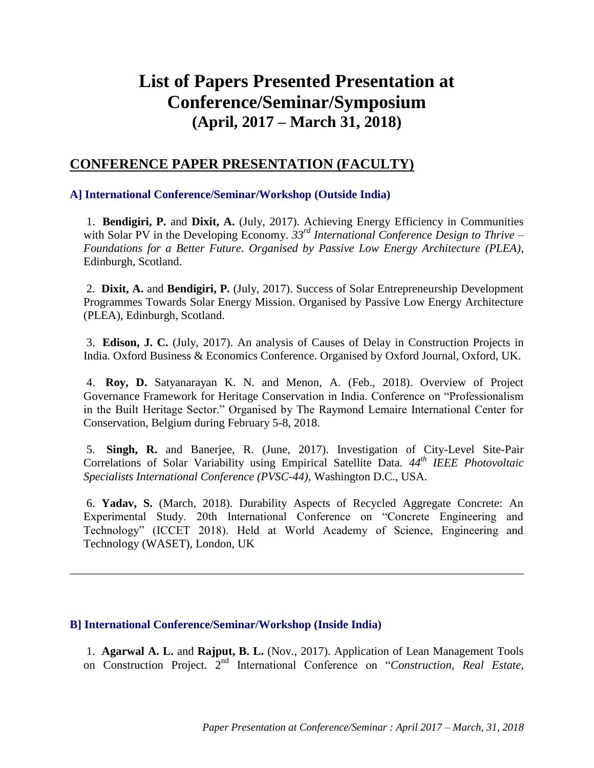# **List of Papers Presented Presentation at Conference/Seminar/Symposium (April, 2017 – March 31, 2018)**

## **CONFERENCE PAPER PRESENTATION (FACULTY)**

## **A] International Conference/Seminar/Workshop (Outside India)**

1. **Bendigiri, P.** and **Dixit, A.** (July, 2017). Achieving Energy Efficiency in Communities with Solar PV in the Developing Economy. *33rd International Conference Design to Thrive – Foundations for a Better Future*. *Organised by Passive Low Energy Architecture (PLEA)*, Edinburgh, Scotland.

2. **Dixit, A.** and **Bendigiri, P.** (July, 2017). Success of Solar Entrepreneurship Development Programmes Towards Solar Energy Mission. Organised by Passive Low Energy Architecture (PLEA), Edinburgh, Scotland.

3. **Edison, J. C.** (July, 2017). An analysis of Causes of Delay in Construction Projects in India. Oxford Business & Economics Conference. Organised by Oxford Journal, Oxford, UK.

4. **Roy, D.** Satyanarayan K. N. and Menon, A. (Feb., 2018). Overview of Project Governance Framework for Heritage Conservation in India. Conference on "Professionalism in the Built Heritage Sector." Organised by The Raymond Lemaire International Center for Conservation, Belgium during February 5-8, 2018.

5. **Singh, R.** and Banerjee, R. (June, 2017). Investigation of City-Level Site-Pair Correlations of Solar Variability using Empirical Satellite Data. *44th IEEE Photovoltaic Specialists International Conference (PVSC-44)*, Washington D.C., USA.

6. **Yadav, S.** (March, 2018). Durability Aspects of Recycled Aggregate Concrete: An Experimental Study. 20th International Conference on "Concrete Engineering and Technology" (ICCET 2018). Held at World Academy of Science, Engineering and Technology (WASET), London, UK

## **B] International Conference/Seminar/Workshop (Inside India)**

1. **Agarwal A. L.** and **Rajput, B. L.** (Nov., 2017). Application of Lean Management Tools on Construction Project. 2nd International Conference on "*Construction, Real Estate,*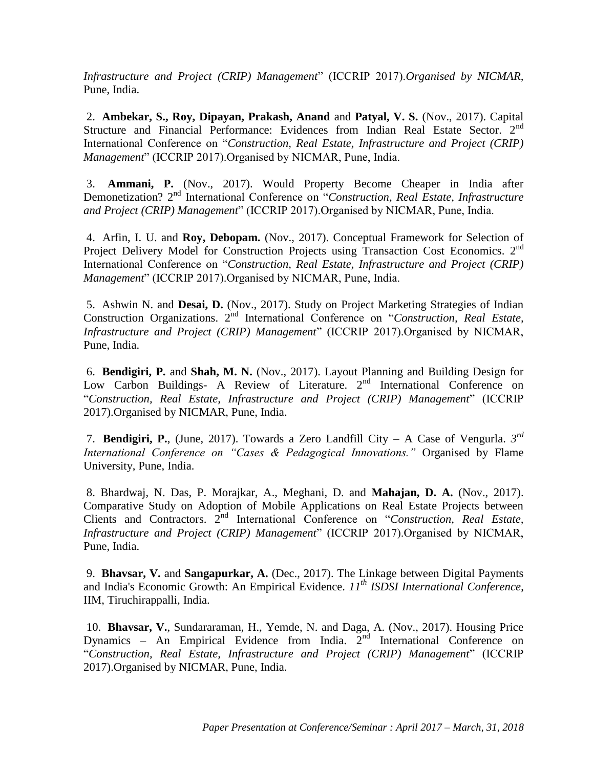*Infrastructure and Project (CRIP) Management*" (ICCRIP 2017).*Organised by NICMAR,*  Pune, India.

2. **Ambekar, S., Roy, Dipayan, Prakash, Anand** and **Patyal, V. S.** (Nov., 2017). Capital Structure and Financial Performance: Evidences from Indian Real Estate Sector. 2<sup>nd</sup> International Conference on "*Construction, Real Estate, Infrastructure and Project (CRIP) Management*" (ICCRIP 2017).Organised by NICMAR, Pune, India.

3. **Ammani, P.** (Nov., 2017). Would Property Become Cheaper in India after Demonetization? 2<sup>nd</sup> International Conference on "Construction, Real Estate, Infrastructure *and Project (CRIP) Management*" (ICCRIP 2017).Organised by NICMAR, Pune, India.

4. Arfin, I. U. and **Roy, Debopam.** (Nov., 2017). Conceptual Framework for Selection of Project Delivery Model for Construction Projects using Transaction Cost Economics. 2<sup>nd</sup> International Conference on "*Construction, Real Estate, Infrastructure and Project (CRIP) Management*" (ICCRIP 2017).Organised by NICMAR, Pune, India.

5. Ashwin N. and **Desai, D.** (Nov., 2017). Study on Project Marketing Strategies of Indian Construction Organizations. 2nd International Conference on "*Construction, Real Estate, Infrastructure and Project (CRIP) Management*" (ICCRIP 2017).Organised by NICMAR, Pune, India.

6. **Bendigiri, P.** and **Shah, M. N.** (Nov., 2017). Layout Planning and Building Design for Low Carbon Buildings- A Review of Literature. 2<sup>nd</sup> International Conference on "*Construction, Real Estate, Infrastructure and Project (CRIP) Management*" (ICCRIP 2017).Organised by NICMAR, Pune, India.

7. **Bendigiri, P.**, (June, 2017). Towards a Zero Landfill City – A Case of Vengurla. *3 rd International Conference on "Cases & Pedagogical Innovations."* Organised by Flame University, Pune, India.

8. Bhardwaj, N. Das, P. Morajkar, A., Meghani, D. and **Mahajan, D. A.** (Nov., 2017). Comparative Study on Adoption of Mobile Applications on Real Estate Projects between Clients and Contractors. 2nd International Conference on "*Construction, Real Estate, Infrastructure and Project (CRIP) Management*" (ICCRIP 2017).Organised by NICMAR, Pune, India.

9. **Bhavsar, V.** and **Sangapurkar, A.** (Dec., 2017). The Linkage between Digital Payments and India's Economic Growth: An Empirical Evidence. *11th ISDSI International Conference*, IIM, Tiruchirappalli, India.

10. **Bhavsar, V.**, Sundararaman, H., Yemde, N. and Daga, A. (Nov., 2017). Housing Price Dynamics – An Empirical Evidence from India.  $2<sup>nd</sup>$  International Conference on "*Construction, Real Estate, Infrastructure and Project (CRIP) Management*" (ICCRIP 2017).Organised by NICMAR, Pune, India.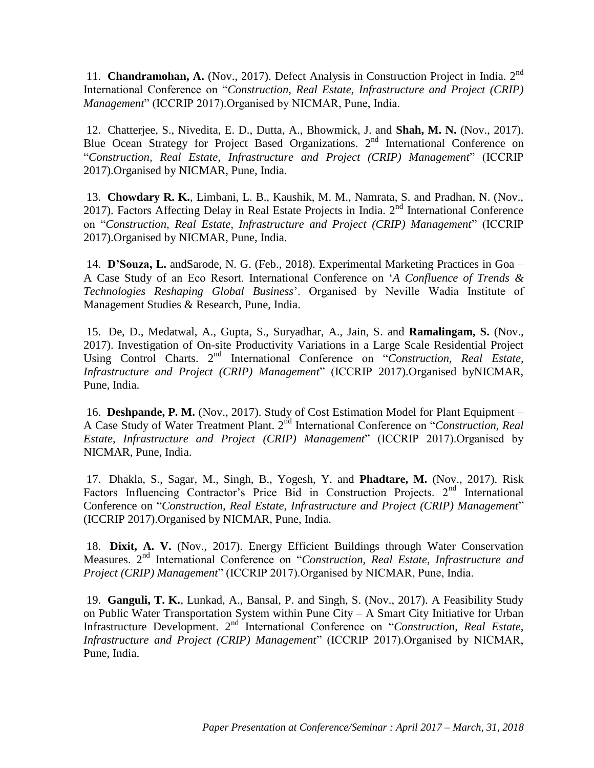11. **Chandramohan, A.** (Nov., 2017). Defect Analysis in Construction Project in India. 2nd International Conference on "*Construction, Real Estate, Infrastructure and Project (CRIP) Management*" (ICCRIP 2017).Organised by NICMAR, Pune, India.

12. Chatterjee, S., Nivedita, E. D., Dutta, A., Bhowmick, J. and **Shah, M. N.** (Nov., 2017). Blue Ocean Strategy for Project Based Organizations. 2nd International Conference on "*Construction, Real Estate, Infrastructure and Project (CRIP) Management*" (ICCRIP 2017).Organised by NICMAR, Pune, India.

13. **Chowdary R. K.**, Limbani, L. B., Kaushik, M. M., Namrata, S. and Pradhan, N. (Nov., 2017). Factors Affecting Delay in Real Estate Projects in India. 2<sup>nd</sup> International Conference on "*Construction, Real Estate, Infrastructure and Project (CRIP) Management*" (ICCRIP 2017).Organised by NICMAR, Pune, India.

14. **D'Souza, L.** andSarode, N. G. (Feb., 2018). Experimental Marketing Practices in Goa – A Case Study of an Eco Resort. International Conference on '*A Confluence of Trends & Technologies Reshaping Global Business*'. Organised by Neville Wadia Institute of Management Studies & Research, Pune, India.

15. De, D., Medatwal, A., Gupta, S., Suryadhar, A., Jain, S. and **Ramalingam, S.** (Nov., 2017). Investigation of On-site Productivity Variations in a Large Scale Residential Project Using Control Charts. 2<sup>nd</sup> International Conference on "Construction, Real Estate, *Infrastructure and Project (CRIP) Management*" (ICCRIP 2017).Organised byNICMAR, Pune, India.

16. **Deshpande, P. M.** (Nov., 2017). Study of Cost Estimation Model for Plant Equipment – A Case Study of Water Treatment Plant. 2nd International Conference on "*Construction, Real Estate, Infrastructure and Project (CRIP) Management*" (ICCRIP 2017).Organised by NICMAR, Pune, India.

17. Dhakla, S., Sagar, M., Singh, B., Yogesh, Y. and **Phadtare, M.** (Nov., 2017). Risk Factors Influencing Contractor's Price Bid in Construction Projects. 2<sup>nd</sup> International Conference on "*Construction, Real Estate, Infrastructure and Project (CRIP) Management*" (ICCRIP 2017).Organised by NICMAR, Pune, India.

18. **Dixit, A. V.** (Nov., 2017). Energy Efficient Buildings through Water Conservation Measures. 2nd International Conference on "*Construction, Real Estate, Infrastructure and Project (CRIP) Management*" (ICCRIP 2017).Organised by NICMAR, Pune, India.

19. **Ganguli, T. K.**, Lunkad, A., Bansal, P. and Singh, S. (Nov., 2017). A Feasibility Study on Public Water Transportation System within Pune City – A Smart City Initiative for Urban Infrastructure Development. 2nd International Conference on "*Construction, Real Estate, Infrastructure and Project (CRIP) Management*" (ICCRIP 2017).Organised by NICMAR, Pune, India.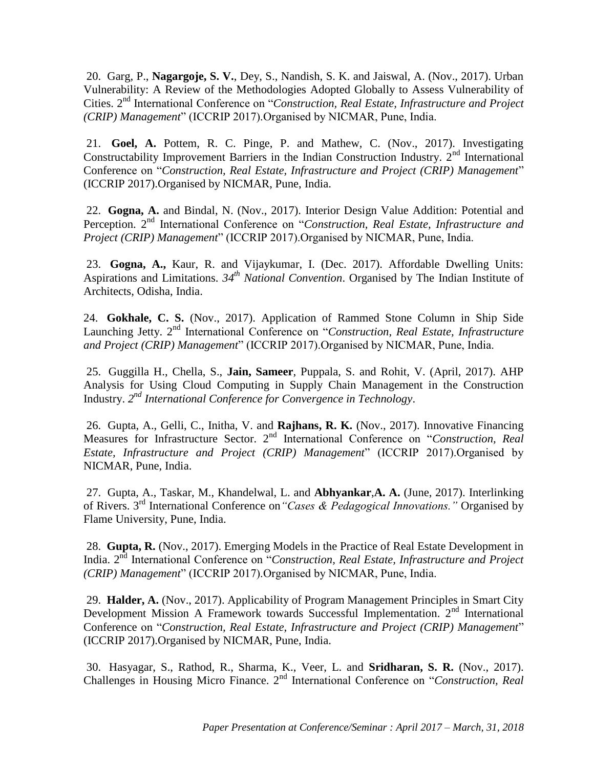20. Garg, P., **Nagargoje, S. V.**, Dey, S., Nandish, S. K. and Jaiswal, A. (Nov., 2017). Urban Vulnerability: A Review of the Methodologies Adopted Globally to Assess Vulnerability of Cities. 2nd International Conference on "*Construction, Real Estate, Infrastructure and Project (CRIP) Management*" (ICCRIP 2017).Organised by NICMAR, Pune, India.

21. **Goel, A.** Pottem, R. C. Pinge, P. and Mathew, C. (Nov., 2017). Investigating Constructability Improvement Barriers in the Indian Construction Industry.  $2<sup>nd</sup>$  International Conference on "*Construction, Real Estate, Infrastructure and Project (CRIP) Management*" (ICCRIP 2017).Organised by NICMAR, Pune, India.

22. **Gogna, A.** and Bindal, N. (Nov., 2017). Interior Design Value Addition: Potential and Perception. 2nd International Conference on "*Construction, Real Estate, Infrastructure and Project (CRIP) Management*" (ICCRIP 2017).Organised by NICMAR, Pune, India.

23. **Gogna, A.,** Kaur, R. and Vijaykumar, I. (Dec. 2017). Affordable Dwelling Units: Aspirations and Limitations. *34th National Convention*. Organised by The Indian Institute of Architects, Odisha, India.

24. **Gokhale, C. S.** (Nov., 2017). Application of Rammed Stone Column in Ship Side Launching Jetty. 2<sup>nd</sup> International Conference on "Construction, Real Estate, Infrastructure *and Project (CRIP) Management*" (ICCRIP 2017).Organised by NICMAR, Pune, India.

25. Guggilla H., Chella, S., **Jain, Sameer**, Puppala, S. and Rohit, V. (April, 2017). AHP Analysis for Using Cloud Computing in Supply Chain Management in the Construction Industry. *2 nd International Conference for Convergence in Technology*.

26. Gupta, A., Gelli, C., Initha, V. and **Rajhans, R. K.** (Nov., 2017). Innovative Financing Measures for Infrastructure Sector. 2nd International Conference on "*Construction, Real Estate, Infrastructure and Project (CRIP) Management*" (ICCRIP 2017).Organised by NICMAR, Pune, India.

27. Gupta, A., Taskar, M., Khandelwal, L. and **Abhyankar**,**A. A.** (June, 2017). Interlinking of Rivers. 3rd International Conference on*"Cases & Pedagogical Innovations."* Organised by Flame University, Pune, India.

28. **Gupta, R.** (Nov., 2017). Emerging Models in the Practice of Real Estate Development in India. 2nd International Conference on "*Construction, Real Estate, Infrastructure and Project (CRIP) Management*" (ICCRIP 2017).Organised by NICMAR, Pune, India.

29. **Halder, A.** (Nov., 2017). Applicability of Program Management Principles in Smart City Development Mission A Framework towards Successful Implementation.  $2<sup>nd</sup>$  International Conference on "*Construction, Real Estate, Infrastructure and Project (CRIP) Management*" (ICCRIP 2017).Organised by NICMAR, Pune, India.

30. Hasyagar, S., Rathod, R., Sharma, K., Veer, L. and **Sridharan, S. R.** (Nov., 2017). Challenges in Housing Micro Finance. 2nd International Conference on "*Construction, Real*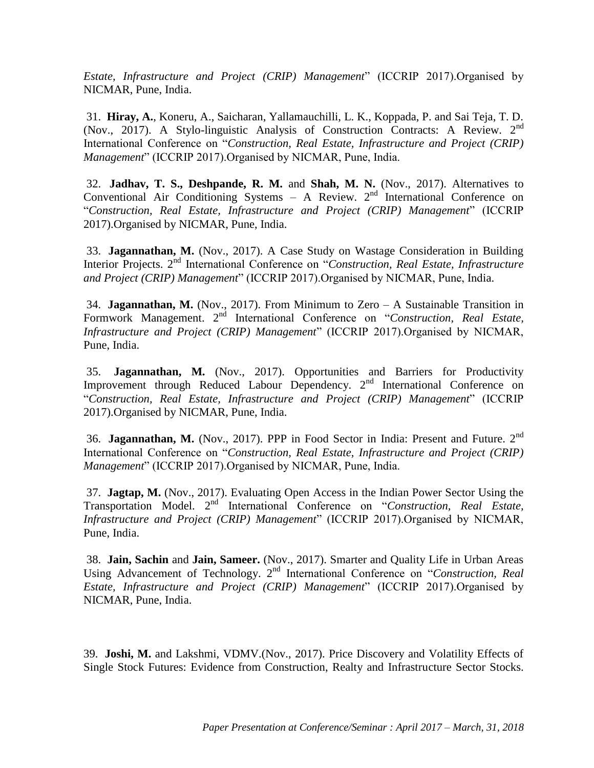*Estate, Infrastructure and Project (CRIP) Management*" (ICCRIP 2017).Organised by NICMAR, Pune, India.

31. **Hiray, A.**, Koneru, A., Saicharan, Yallamauchilli, L. K., Koppada, P. and Sai Teja, T. D. (Nov., 2017). A Stylo-linguistic Analysis of Construction Contracts: A Review. 2nd International Conference on "*Construction, Real Estate, Infrastructure and Project (CRIP) Management*" (ICCRIP 2017).Organised by NICMAR, Pune, India.

32. **Jadhav, T. S., Deshpande, R. M.** and **Shah, M. N.** (Nov., 2017). Alternatives to Conventional Air Conditioning Systems – A Review.  $2<sup>nd</sup>$  International Conference on "*Construction, Real Estate, Infrastructure and Project (CRIP) Management*" (ICCRIP 2017).Organised by NICMAR, Pune, India.

33. **Jagannathan, M.** (Nov., 2017). A Case Study on Wastage Consideration in Building Interior Projects. 2<sup>nd</sup> International Conference on "*Construction, Real Estate, Infrastructure and Project (CRIP) Management*" (ICCRIP 2017).Organised by NICMAR, Pune, India.

34. **Jagannathan, M.** (Nov., 2017). From Minimum to Zero – A Sustainable Transition in Formwork Management. 2<sup>nd</sup> International Conference on "*Construction, Real Estate*, *Infrastructure and Project (CRIP) Management*" (ICCRIP 2017).Organised by NICMAR, Pune, India.

35. **Jagannathan, M.** (Nov., 2017). Opportunities and Barriers for Productivity Improvement through Reduced Labour Dependency. 2<sup>nd</sup> International Conference on "*Construction, Real Estate, Infrastructure and Project (CRIP) Management*" (ICCRIP 2017).Organised by NICMAR, Pune, India.

36. **Jagannathan, M.** (Nov., 2017). PPP in Food Sector in India: Present and Future. 2nd International Conference on "*Construction, Real Estate, Infrastructure and Project (CRIP) Management*" (ICCRIP 2017).Organised by NICMAR, Pune, India.

37. **Jagtap, M.** (Nov., 2017). Evaluating Open Access in the Indian Power Sector Using the Transportation Model. 2nd International Conference on "*Construction, Real Estate, Infrastructure and Project (CRIP) Management*" (ICCRIP 2017).Organised by NICMAR, Pune, India.

38. **Jain, Sachin** and **Jain, Sameer.** (Nov., 2017). Smarter and Quality Life in Urban Areas Using Advancement of Technology. 2<sup>nd</sup> International Conference on "Construction, Real *Estate, Infrastructure and Project (CRIP) Management*" (ICCRIP 2017).Organised by NICMAR, Pune, India.

39. **Joshi, M.** and Lakshmi, VDMV.(Nov., 2017). Price Discovery and Volatility Effects of Single Stock Futures: Evidence from Construction, Realty and Infrastructure Sector Stocks.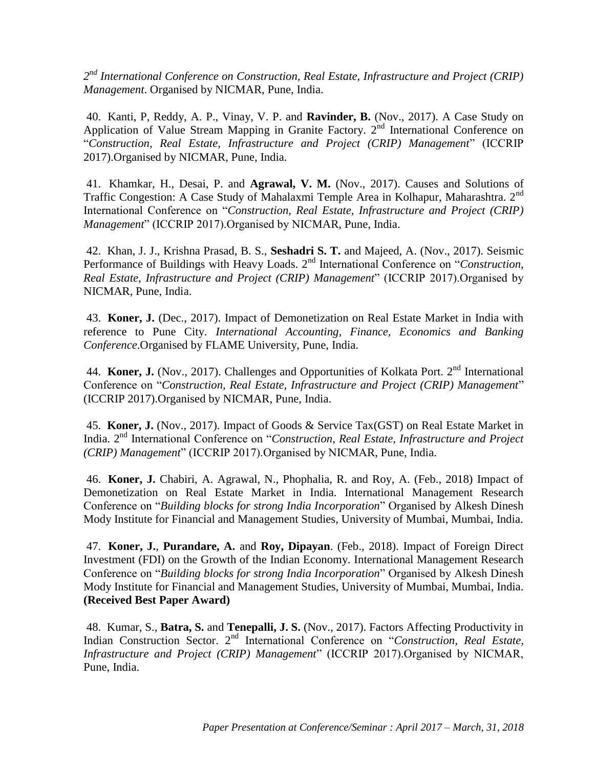2<sup>nd</sup> International Conference on Construction, Real Estate, Infrastructure and Project (CRIP) *Management*. Organised by NICMAR, Pune, India.

40. Kanti, P, Reddy, A. P., Vinay, V. P. and **Ravinder, B.** (Nov., 2017). A Case Study on Application of Value Stream Mapping in Granite Factory. 2<sup>nd</sup> International Conference on "*Construction, Real Estate, Infrastructure and Project (CRIP) Management*" (ICCRIP 2017).Organised by NICMAR, Pune, India.

41. Khamkar, H., Desai, P. and **Agrawal, V. M.** (Nov., 2017). Causes and Solutions of Traffic Congestion: A Case Study of Mahalaxmi Temple Area in Kolhapur, Maharashtra. 2<sup>nd</sup> International Conference on "*Construction, Real Estate, Infrastructure and Project (CRIP) Management*" (ICCRIP 2017).Organised by NICMAR, Pune, India.

42. Khan, J. J., Krishna Prasad, B. S., **Seshadri S. T.** and Majeed, A. (Nov., 2017). Seismic Performance of Buildings with Heavy Loads. 2<sup>nd</sup> International Conference on "*Construction*, *Real Estate, Infrastructure and Project (CRIP) Management*" (ICCRIP 2017).Organised by NICMAR, Pune, India.

43. **Koner, J.** (Dec., 2017). Impact of Demonetization on Real Estate Market in India with reference to Pune City. *International Accounting, Finance, Economics and Banking Conference*.Organised by FLAME University, Pune, India.

44. **Koner, J.** (Nov., 2017). Challenges and Opportunities of Kolkata Port. 2<sup>nd</sup> International Conference on "*Construction, Real Estate, Infrastructure and Project (CRIP) Management*" (ICCRIP 2017).Organised by NICMAR, Pune, India.

45. **Koner, J.** (Nov., 2017). Impact of Goods & Service Tax(GST) on Real Estate Market in India. 2nd International Conference on "*Construction, Real Estate, Infrastructure and Project (CRIP) Management*" (ICCRIP 2017).Organised by NICMAR, Pune, India.

46. **Koner, J.** Chabiri, A. Agrawal, N., Phophalia, R. and Roy, A. (Feb., 2018) Impact of Demonetization on Real Estate Market in India. International Management Research Conference on "*Building blocks for strong India Incorporation*" Organised by Alkesh Dinesh Mody Institute for Financial and Management Studies, University of Mumbai, Mumbai, India.

47. **Koner, J.**, **Purandare, A.** and **Roy, Dipayan**. (Feb., 2018). Impact of Foreign Direct Investment (FDI) on the Growth of the Indian Economy. International Management Research Conference on "*Building blocks for strong India Incorporation*" Organised by Alkesh Dinesh Mody Institute for Financial and Management Studies, University of Mumbai, Mumbai, India. **(Received Best Paper Award)**

48. Kumar, S., **Batra, S.** and **Tenepalli, J. S.** (Nov., 2017). Factors Affecting Productivity in Indian Construction Sector. 2nd International Conference on "*Construction, Real Estate, Infrastructure and Project (CRIP) Management*" (ICCRIP 2017).Organised by NICMAR, Pune, India.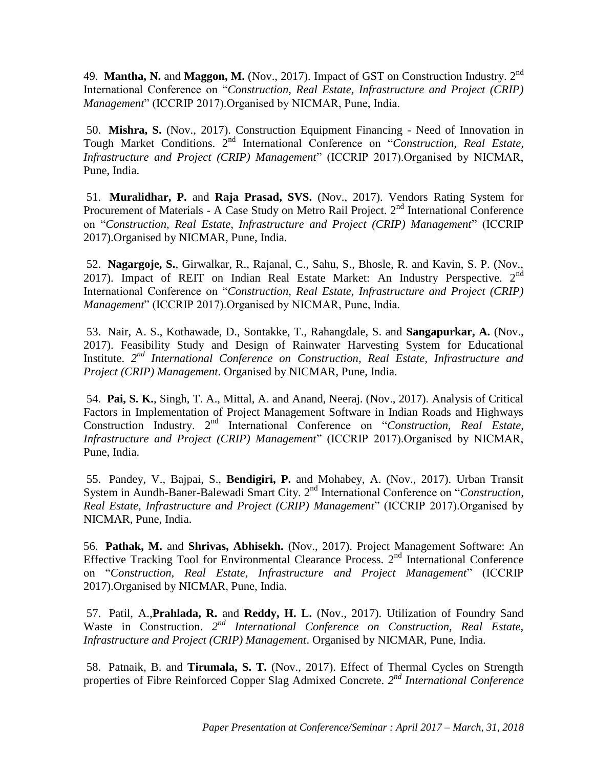49. **Mantha, N.** and **Maggon, M.** (Nov., 2017). Impact of GST on Construction Industry. 2nd International Conference on "*Construction, Real Estate, Infrastructure and Project (CRIP) Management*" (ICCRIP 2017).Organised by NICMAR, Pune, India.

50. **Mishra, S.** (Nov., 2017). Construction Equipment Financing - Need of Innovation in Tough Market Conditions. 2nd International Conference on "*Construction, Real Estate, Infrastructure and Project (CRIP) Management*" (ICCRIP 2017).Organised by NICMAR, Pune, India.

51. **Muralidhar, P.** and **Raja Prasad, SVS.** (Nov., 2017). Vendors Rating System for Procurement of Materials - A Case Study on Metro Rail Project. 2<sup>nd</sup> International Conference on "*Construction, Real Estate, Infrastructure and Project (CRIP) Management*" (ICCRIP 2017).Organised by NICMAR, Pune, India.

52. **Nagargoje, S.**, Girwalkar, R., Rajanal, C., Sahu, S., Bhosle, R. and Kavin, S. P. (Nov., 2017). Impact of REIT on Indian Real Estate Market: An Industry Perspective.  $2<sup>nd</sup>$ International Conference on "*Construction, Real Estate, Infrastructure and Project (CRIP) Management*" (ICCRIP 2017).Organised by NICMAR, Pune, India.

53. Nair, A. S., Kothawade, D., Sontakke, T., Rahangdale, S. and **Sangapurkar, A.** (Nov., 2017). Feasibility Study and Design of Rainwater Harvesting System for Educational Institute. 2<sup>nd</sup> International Conference on Construction, Real Estate, Infrastructure and *Project (CRIP) Management*. Organised by NICMAR, Pune, India.

54. **Pai, S. K.**, Singh, T. A., Mittal, A. and Anand, Neeraj. (Nov., 2017). Analysis of Critical Factors in Implementation of Project Management Software in Indian Roads and Highways Construction Industry. 2nd International Conference on "*Construction, Real Estate, Infrastructure and Project (CRIP) Management*" (ICCRIP 2017).Organised by NICMAR, Pune, India.

55. Pandey, V., Bajpai, S., **Bendigiri, P.** and Mohabey, A. (Nov., 2017). Urban Transit System in Aundh-Baner-Balewadi Smart City. 2nd International Conference on "*Construction, Real Estate, Infrastructure and Project (CRIP) Management*" (ICCRIP 2017).Organised by NICMAR, Pune, India.

56. **Pathak, M.** and **Shrivas, Abhisekh.** (Nov., 2017). Project Management Software: An Effective Tracking Tool for Environmental Clearance Process. 2<sup>nd</sup> International Conference on "*Construction, Real Estate, Infrastructure and Project Management*" (ICCRIP 2017).Organised by NICMAR, Pune, India.

57. Patil, A.,**Prahlada, R.** and **Reddy, H. L.** (Nov., 2017). Utilization of Foundry Sand Waste in Construction. 2<sup>nd</sup> International Conference on Construction, Real Estate, *Infrastructure and Project (CRIP) Management*. Organised by NICMAR, Pune, India.

58. Patnaik, B. and **Tirumala, S. T.** (Nov., 2017). Effect of Thermal Cycles on Strength properties of Fibre Reinforced Copper Slag Admixed Concrete. 2<sup>nd</sup> International Conference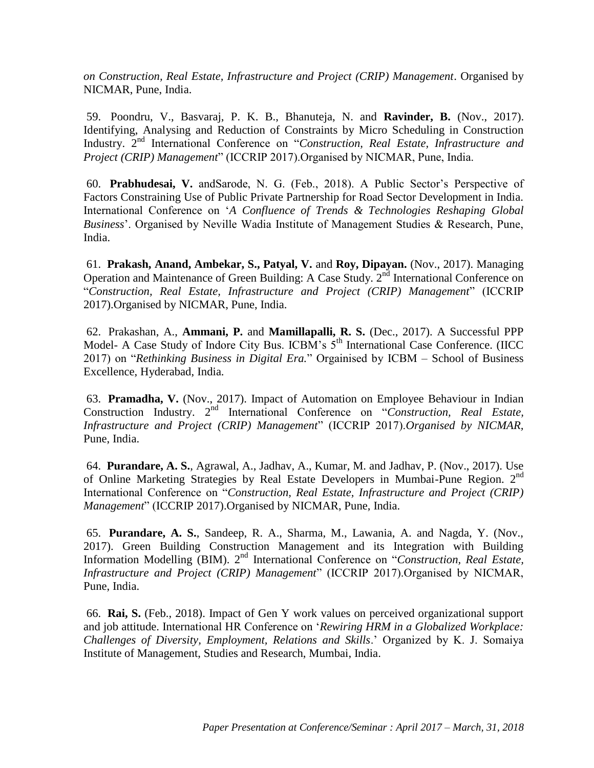*on Construction, Real Estate, Infrastructure and Project (CRIP) Management*. Organised by NICMAR, Pune, India.

59. Poondru, V., Basvaraj, P. K. B., Bhanuteja, N. and **Ravinder, B.** (Nov., 2017). Identifying, Analysing and Reduction of Constraints by Micro Scheduling in Construction Industry. 2nd International Conference on "*Construction, Real Estate, Infrastructure and Project (CRIP) Management*" (ICCRIP 2017).Organised by NICMAR, Pune, India.

60. **Prabhudesai, V.** andSarode, N. G. (Feb., 2018). A Public Sector's Perspective of Factors Constraining Use of Public Private Partnership for Road Sector Development in India. International Conference on '*A Confluence of Trends & Technologies Reshaping Global Business*'. Organised by Neville Wadia Institute of Management Studies & Research, Pune, India.

61. **Prakash, Anand, Ambekar, S., Patyal, V.** and **Roy, Dipayan.** (Nov., 2017). Managing Operation and Maintenance of Green Building: A Case Study. 2<sup>nd</sup> International Conference on "*Construction, Real Estate, Infrastructure and Project (CRIP) Management*" (ICCRIP 2017).Organised by NICMAR, Pune, India.

62. Prakashan, A., **Ammani, P.** and **Mamillapalli, R. S.** (Dec., 2017). A Successful PPP Model- A Case Study of Indore City Bus. ICBM's 5<sup>th</sup> International Case Conference. (IICC 2017) on "*Rethinking Business in Digital Era.*" Orgainised by ICBM – School of Business Excellence, Hyderabad, India.

63. **Pramadha, V.** (Nov., 2017). Impact of Automation on Employee Behaviour in Indian Construction Industry. 2nd International Conference on "*Construction, Real Estate, Infrastructure and Project (CRIP) Management*" (ICCRIP 2017).*Organised by NICMAR,*  Pune, India.

64. **Purandare, A. S.**, Agrawal, A., Jadhav, A., Kumar, M. and Jadhav, P. (Nov., 2017). Use of Online Marketing Strategies by Real Estate Developers in Mumbai-Pune Region. 2nd International Conference on "*Construction, Real Estate, Infrastructure and Project (CRIP) Management*" (ICCRIP 2017).Organised by NICMAR, Pune, India.

65. **Purandare, A. S.**, Sandeep, R. A., Sharma, M., Lawania, A. and Nagda, Y. (Nov., 2017). Green Building Construction Management and its Integration with Building Information Modelling (BIM). 2nd International Conference on "*Construction, Real Estate, Infrastructure and Project (CRIP) Management*" (ICCRIP 2017).Organised by NICMAR, Pune, India.

66. **Rai, S.** (Feb., 2018). Impact of Gen Y work values on perceived organizational support and job attitude. International HR Conference on '*Rewiring HRM in a Globalized Workplace: Challenges of Diversity, Employment, Relations and Skills*.' Organized by K. J. Somaiya Institute of Management, Studies and Research, Mumbai, India.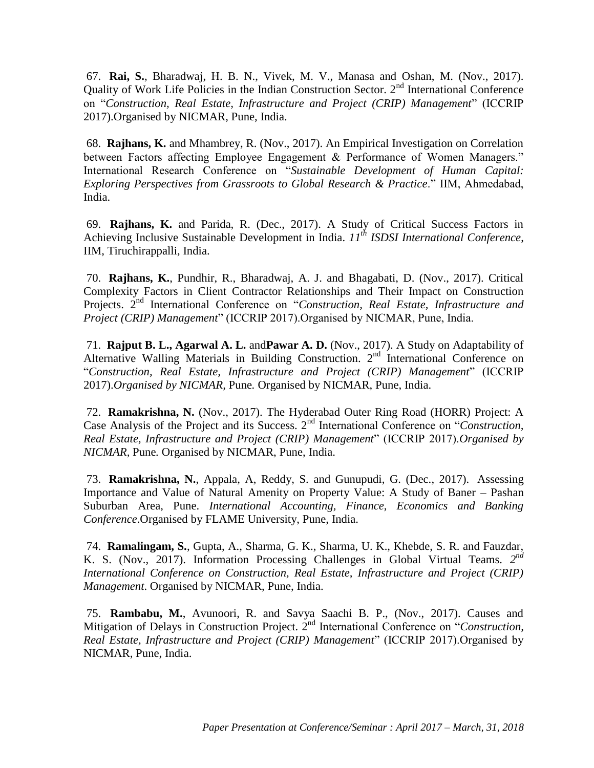67. **Rai, S.**, Bharadwaj, H. B. N., Vivek, M. V., Manasa and Oshan, M. (Nov., 2017). Quality of Work Life Policies in the Indian Construction Sector. 2<sup>nd</sup> International Conference on "*Construction, Real Estate, Infrastructure and Project (CRIP) Management*" (ICCRIP 2017).Organised by NICMAR, Pune, India.

68. **Rajhans, K.** and Mhambrey, R. (Nov., 2017). An Empirical Investigation on Correlation between Factors affecting Employee Engagement & Performance of Women Managers." International Research Conference on "*Sustainable Development of Human Capital: Exploring Perspectives from Grassroots to Global Research & Practice*." IIM, Ahmedabad, India.

69. **Rajhans, K.** and Parida, R. (Dec., 2017). A Study of Critical Success Factors in Achieving Inclusive Sustainable Development in India. *11th ISDSI International Conference*, IIM, Tiruchirappalli, India.

70. **Rajhans, K.**, Pundhir, R., Bharadwaj, A. J. and Bhagabati, D. (Nov., 2017). Critical Complexity Factors in Client Contractor Relationships and Their Impact on Construction Projects. 2<sup>nd</sup> International Conference on "*Construction, Real Estate, Infrastructure and Project (CRIP) Management*" (ICCRIP 2017).Organised by NICMAR, Pune, India.

71. **Rajput B. L., Agarwal A. L.** and**Pawar A. D.** (Nov., 2017). A Study on Adaptability of Alternative Walling Materials in Building Construction. 2<sup>nd</sup> International Conference on "*Construction, Real Estate, Infrastructure and Project (CRIP) Management*" (ICCRIP 2017).*Organised by NICMAR,* Pune*.* Organised by NICMAR, Pune, India.

72. **Ramakrishna, N.** (Nov., 2017). The Hyderabad Outer Ring Road (HORR) Project: A Case Analysis of the Project and its Success. 2nd International Conference on "*Construction, Real Estate, Infrastructure and Project (CRIP) Management*" (ICCRIP 2017).*Organised by NICMAR,* Pune*.* Organised by NICMAR, Pune, India.

73. **Ramakrishna, N.**, Appala, A, Reddy, S. and Gunupudi, G. (Dec., 2017). Assessing Importance and Value of Natural Amenity on Property Value: A Study of Baner – Pashan Suburban Area, Pune. *International Accounting, Finance, Economics and Banking Conference*.Organised by FLAME University, Pune, India.

74. **Ramalingam, S.**, Gupta, A., Sharma, G. K., Sharma, U. K., Khebde, S. R. and Fauzdar, K. S. (Nov., 2017). Information Processing Challenges in Global Virtual Teams. *2 nd International Conference on Construction, Real Estate, Infrastructure and Project (CRIP) Management*. Organised by NICMAR, Pune, India.

75. **Rambabu, M.**, Avunoori, R. and Savya Saachi B. P., (Nov., 2017). Causes and Mitigation of Delays in Construction Project. 2nd International Conference on "*Construction, Real Estate, Infrastructure and Project (CRIP) Management*" (ICCRIP 2017).Organised by NICMAR, Pune, India.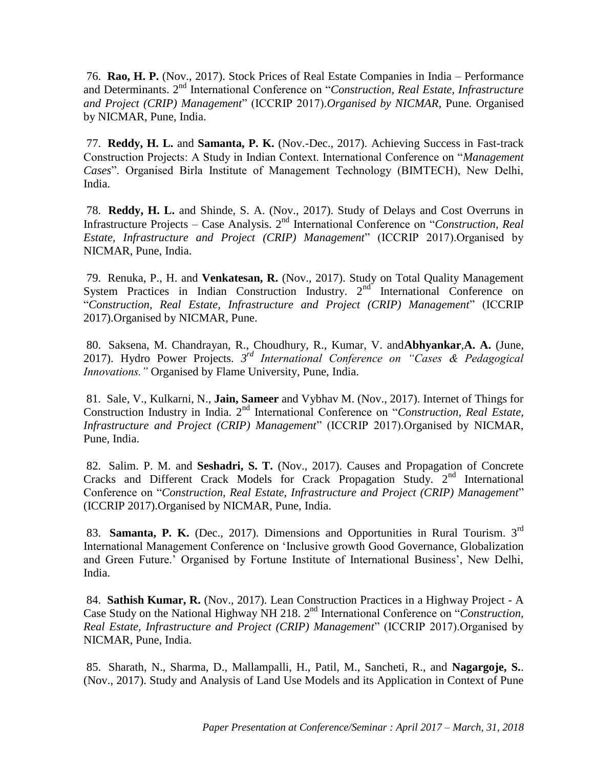76. **Rao, H. P.** (Nov., 2017). Stock Prices of Real Estate Companies in India – Performance and Determinants. 2nd International Conference on "*Construction, Real Estate, Infrastructure and Project (CRIP) Management*" (ICCRIP 2017).*Organised by NICMAR,* Pune*.* Organised by NICMAR, Pune, India.

77. **Reddy, H. L.** and **Samanta, P. K.** (Nov.-Dec., 2017). Achieving Success in Fast-track Construction Projects: A Study in Indian Context. International Conference on "*Management Cases*". Organised Birla Institute of Management Technology (BIMTECH), New Delhi, India.

78. **Reddy, H. L.** and Shinde, S. A. (Nov., 2017). Study of Delays and Cost Overruns in Infrastructure Projects – Case Analysis. 2nd International Conference on "*Construction, Real Estate, Infrastructure and Project (CRIP) Management*" (ICCRIP 2017).Organised by NICMAR, Pune, India.

79. Renuka, P., H. and **Venkatesan, R.** (Nov., 2017). Study on Total Quality Management System Practices in Indian Construction Industry. 2<sup>nd</sup> International Conference on "*Construction, Real Estate, Infrastructure and Project (CRIP) Management*" (ICCRIP 2017).Organised by NICMAR, Pune.

80. Saksena, M. Chandrayan, R., Choudhury, R., Kumar, V. and**Abhyankar**,**A. A.** (June, 2017). Hydro Power Projects. *3 rd International Conference on "Cases & Pedagogical Innovations."* Organised by Flame University, Pune, India.

81. Sale, V., Kulkarni, N., **Jain, Sameer** and Vybhav M. (Nov., 2017). Internet of Things for Construction Industry in India. 2<sup>nd</sup> International Conference on "*Construction, Real Estate*, *Infrastructure and Project (CRIP) Management*" (ICCRIP 2017).Organised by NICMAR, Pune, India.

82. Salim. P. M. and **Seshadri, S. T.** (Nov., 2017). Causes and Propagation of Concrete Cracks and Different Crack Models for Crack Propagation Study.  $2<sup>nd</sup>$  International Conference on "*Construction, Real Estate, Infrastructure and Project (CRIP) Management*" (ICCRIP 2017).Organised by NICMAR, Pune, India.

83. **Samanta, P. K.** (Dec., 2017). Dimensions and Opportunities in Rural Tourism. 3rd International Management Conference on 'Inclusive growth Good Governance, Globalization and Green Future.' Organised by Fortune Institute of International Business', New Delhi, India.

84. **Sathish Kumar, R.** (Nov., 2017). Lean Construction Practices in a Highway Project - A Case Study on the National Highway NH 218. 2<sup>nd</sup> International Conference on "Construction, *Real Estate, Infrastructure and Project (CRIP) Management*" (ICCRIP 2017).Organised by NICMAR, Pune, India.

85. Sharath, N., Sharma, D., Mallampalli, H., Patil, M., Sancheti, R., and **Nagargoje, S.**. (Nov., 2017). Study and Analysis of Land Use Models and its Application in Context of Pune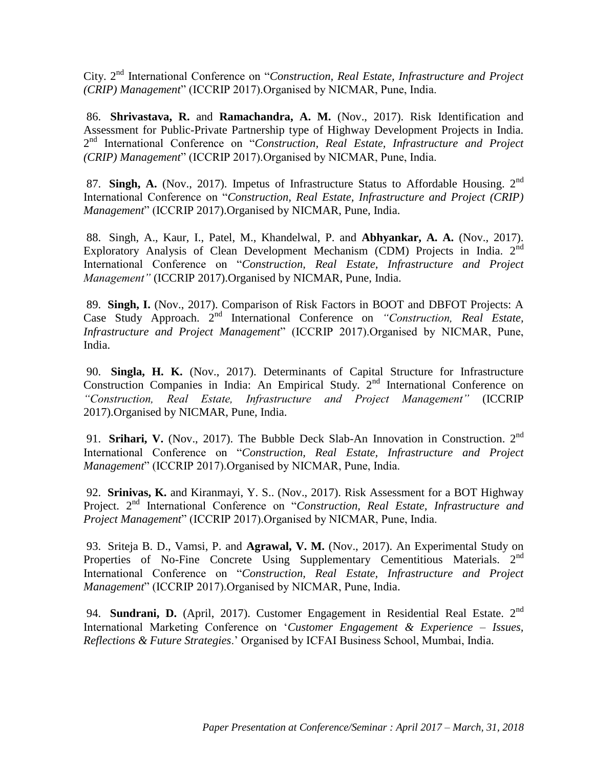City. 2nd International Conference on "*Construction, Real Estate, Infrastructure and Project (CRIP) Management*" (ICCRIP 2017).Organised by NICMAR, Pune, India.

86. **Shrivastava, R.** and **Ramachandra, A. M.** (Nov., 2017). Risk Identification and Assessment for Public-Private Partnership type of Highway Development Projects in India. 2<sup>nd</sup> International Conference on "Construction, Real Estate, Infrastructure and Project *(CRIP) Management*" (ICCRIP 2017).Organised by NICMAR, Pune, India.

87. **Singh, A.** (Nov., 2017). Impetus of Infrastructure Status to Affordable Housing. 2<sup>nd</sup> International Conference on "*Construction, Real Estate, Infrastructure and Project (CRIP) Management*" (ICCRIP 2017).Organised by NICMAR, Pune, India.

88. Singh, A., Kaur, I., Patel, M., Khandelwal, P. and **Abhyankar, A. A.** (Nov., 2017). Exploratory Analysis of Clean Development Mechanism (CDM) Projects in India.  $2<sup>nd</sup>$ International Conference on "*Construction, Real Estate, Infrastructure and Project Management"* (ICCRIP 2017).Organised by NICMAR, Pune, India.

89. **Singh, I.** (Nov., 2017). Comparison of Risk Factors in BOOT and DBFOT Projects: A Case Study Approach. 2nd International Conference on *"Construction, Real Estate, Infrastructure and Project Management*" (ICCRIP 2017).Organised by NICMAR, Pune, India.

90. **Singla, H. K.** (Nov., 2017). Determinants of Capital Structure for Infrastructure Construction Companies in India: An Empirical Study. 2<sup>nd</sup> International Conference on *"Construction, Real Estate, Infrastructure and Project Management"* (ICCRIP 2017).Organised by NICMAR, Pune, India.

91. **Srihari, V.** (Nov., 2017). The Bubble Deck Slab-An Innovation in Construction. 2<sup>nd</sup> International Conference on "*Construction, Real Estate, Infrastructure and Project Management*" (ICCRIP 2017).Organised by NICMAR, Pune, India.

92. **Srinivas, K.** and Kiranmayi, Y. S.. (Nov., 2017). Risk Assessment for a BOT Highway Project. 2<sup>nd</sup> International Conference on "Construction, Real Estate, Infrastructure and *Project Management*" (ICCRIP 2017).Organised by NICMAR, Pune, India.

93. Sriteja B. D., Vamsi, P. and **Agrawal, V. M.** (Nov., 2017). An Experimental Study on Properties of No-Fine Concrete Using Supplementary Cementitious Materials.  $2<sup>nd</sup>$ International Conference on "*Construction, Real Estate, Infrastructure and Project Management*" (ICCRIP 2017).Organised by NICMAR, Pune, India.

94. **Sundrani, D.** (April, 2017). Customer Engagement in Residential Real Estate. 2<sup>nd</sup> International Marketing Conference on '*Customer Engagement & Experience – Issues, Reflections & Future Strategies*.' Organised by ICFAI Business School, Mumbai, India.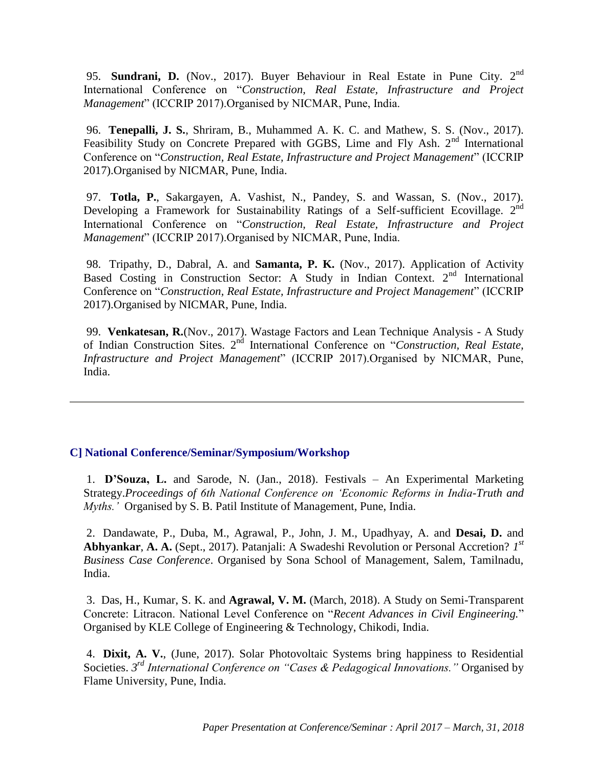95. **Sundrani, D.** (Nov., 2017). Buyer Behaviour in Real Estate in Pune City. 2nd International Conference on "*Construction, Real Estate, Infrastructure and Project Management*" (ICCRIP 2017).Organised by NICMAR, Pune, India.

96. **Tenepalli, J. S.**, Shriram, B., Muhammed A. K. C. and Mathew, S. S. (Nov., 2017). Feasibility Study on Concrete Prepared with GGBS, Lime and Fly Ash. 2<sup>nd</sup> International Conference on "*Construction, Real Estate, Infrastructure and Project Management*" (ICCRIP 2017).Organised by NICMAR, Pune, India.

97. **Totla, P.**, Sakargayen, A. Vashist, N., Pandey, S. and Wassan, S. (Nov., 2017). Developing a Framework for Sustainability Ratings of a Self-sufficient Ecovillage.  $2^{nd}$ International Conference on "*Construction, Real Estate, Infrastructure and Project Management*" (ICCRIP 2017).Organised by NICMAR, Pune, India.

98. Tripathy, D., Dabral, A. and **Samanta, P. K.** (Nov., 2017). Application of Activity Based Costing in Construction Sector: A Study in Indian Context. 2nd International Conference on "*Construction, Real Estate, Infrastructure and Project Management*" (ICCRIP 2017).Organised by NICMAR, Pune, India.

99. **Venkatesan, R.**(Nov., 2017). Wastage Factors and Lean Technique Analysis - A Study of Indian Construction Sites. 2nd International Conference on "*Construction, Real Estate, Infrastructure and Project Management*" (ICCRIP 2017).Organised by NICMAR, Pune, India.

#### **C] National Conference/Seminar/Symposium/Workshop**

1. **D'Souza, L.** and Sarode, N. (Jan., 2018). Festivals – An Experimental Marketing Strategy.*Proceedings of 6th National Conference on 'Economic Reforms in India-Truth and Myths.'* Organised by S. B. Patil Institute of Management, Pune, India.

2. Dandawate, P., Duba, M., Agrawal, P., John, J. M., Upadhyay, A. and **Desai, D.** and **Abhyankar**, **A. A.** (Sept., 2017). Patanjali: A Swadeshi Revolution or Personal Accretion? *1 st Business Case Conference*. Organised by Sona School of Management, Salem, Tamilnadu, India.

3. Das, H., Kumar, S. K. and **Agrawal, V. M.** (March, 2018). A Study on Semi-Transparent Concrete: Litracon. National Level Conference on "*Recent Advances in Civil Engineering.*" Organised by KLE College of Engineering & Technology, Chikodi, India.

4. **Dixit, A. V.**, (June, 2017). Solar Photovoltaic Systems bring happiness to Residential Societies. *3 rd International Conference on "Cases & Pedagogical Innovations."* Organised by Flame University, Pune, India.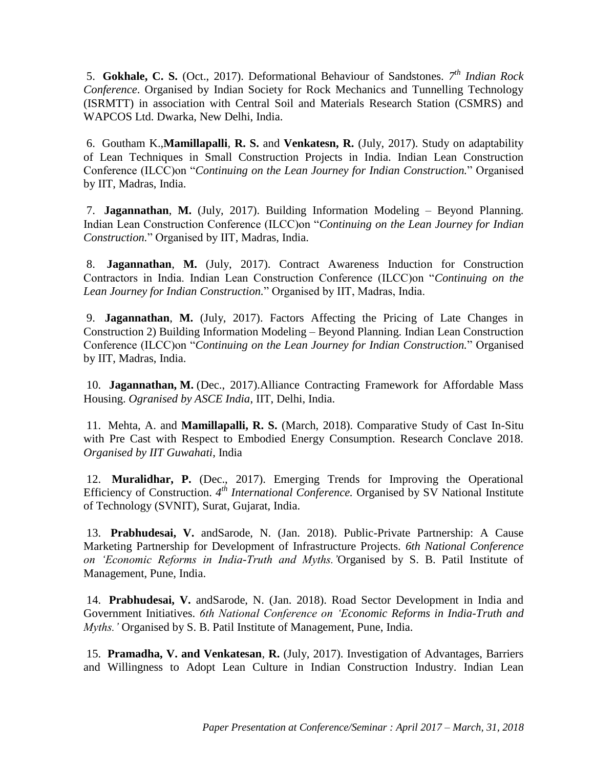5. **Gokhale, C. S.** (Oct., 2017). Deformational Behaviour of Sandstones. *7 th Indian Rock Conference*. Organised by Indian Society for Rock Mechanics and Tunnelling Technology (ISRMTT) in association with Central Soil and Materials Research Station (CSMRS) and WAPCOS Ltd. Dwarka, New Delhi, India.

6. Goutham K.,**Mamillapalli**, **R. S.** and **Venkatesn, R.** (July, 2017). Study on adaptability of Lean Techniques in Small Construction Projects in India. Indian Lean Construction Conference (ILCC)on "*Continuing on the Lean Journey for Indian Construction.*" Organised by IIT, Madras, India.

7. **Jagannathan**, **M.** (July, 2017). Building Information Modeling – Beyond Planning. Indian Lean Construction Conference (ILCC)on "*Continuing on the Lean Journey for Indian Construction.*" Organised by IIT, Madras, India.

8. **Jagannathan**, **M.** (July, 2017). Contract Awareness Induction for Construction Contractors in India. Indian Lean Construction Conference (ILCC)on "*Continuing on the Lean Journey for Indian Construction.*" Organised by IIT, Madras, India.

9. **Jagannathan**, **M.** (July, 2017). Factors Affecting the Pricing of Late Changes in Construction 2) Building Information Modeling – Beyond Planning. Indian Lean Construction Conference (ILCC)on "*Continuing on the Lean Journey for Indian Construction.*" Organised by IIT, Madras, India.

10. **Jagannathan, M.** (Dec., 2017).Alliance Contracting Framework for Affordable Mass Housing. *Ogranised by ASCE India*, IIT, Delhi, India.

11. Mehta, A. and **Mamillapalli, R. S.** (March, 2018). Comparative Study of Cast In-Situ with Pre Cast with Respect to Embodied Energy Consumption. Research Conclave 2018. *Organised by IIT Guwahati*, India

12. **Muralidhar, P.** (Dec., 2017). Emerging Trends for Improving the Operational Efficiency of Construction. 4<sup>th</sup> International Conference. Organised by SV National Institute of Technology (SVNIT), Surat, Gujarat, India.

13. **Prabhudesai, V.** andSarode, N. (Jan. 2018). Public-Private Partnership: A Cause Marketing Partnership for Development of Infrastructure Projects. *6th National Conference on 'Economic Reforms in India-Truth and Myths.'*Organised by S. B. Patil Institute of Management, Pune, India.

14. **Prabhudesai, V.** andSarode, N. (Jan. 2018). Road Sector Development in India and Government Initiatives. *6th National Conference on 'Economic Reforms in India-Truth and Myths.'* Organised by S. B. Patil Institute of Management, Pune, India.

15. **Pramadha, V. and Venkatesan**, **R.** (July, 2017). Investigation of Advantages, Barriers and Willingness to Adopt Lean Culture in Indian Construction Industry. Indian Lean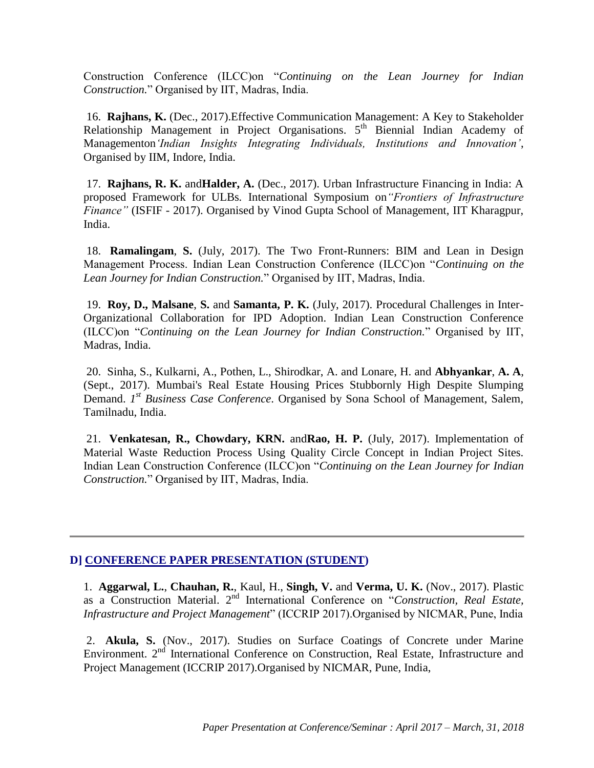Construction Conference (ILCC)on "*Continuing on the Lean Journey for Indian Construction.*" Organised by IIT, Madras, India.

16. **Rajhans, K.** (Dec., 2017).Effective Communication Management: A Key to Stakeholder Relationship Management in Project Organisations. 5<sup>th</sup> Biennial Indian Academy of Managementon*'Indian Insights Integrating Individuals, Institutions and Innovation'*, Organised by IIM, Indore, India.

17. **Rajhans, R. K.** and**Halder, A.** (Dec., 2017). Urban Infrastructure Financing in India: A proposed Framework for ULBs*.* International Symposium on*"Frontiers of Infrastructure Finance"* (ISFIF - 2017). Organised by Vinod Gupta School of Management, IIT Kharagpur, India.

18. **Ramalingam**, **S.** (July, 2017). The Two Front-Runners: BIM and Lean in Design Management Process. Indian Lean Construction Conference (ILCC)on "*Continuing on the Lean Journey for Indian Construction.*" Organised by IIT, Madras, India.

19. **Roy, D., Malsane**, **S.** and **Samanta, P. K.** (July, 2017). Procedural Challenges in Inter-Organizational Collaboration for IPD Adoption. Indian Lean Construction Conference (ILCC)on "*Continuing on the Lean Journey for Indian Construction.*" Organised by IIT, Madras, India.

20. Sinha, S., Kulkarni, A., Pothen, L., Shirodkar, A. and Lonare, H. and **Abhyankar**, **A. A**, (Sept., 2017). Mumbai's Real Estate Housing Prices Stubbornly High Despite Slumping Demand. *1<sup>st</sup> Business Case Conference*. Organised by Sona School of Management, Salem, Tamilnadu, India.

21. **Venkatesan, R., Chowdary, KRN.** and**Rao, H. P.** (July, 2017). Implementation of Material Waste Reduction Process Using Quality Circle Concept in Indian Project Sites. Indian Lean Construction Conference (ILCC)on "*Continuing on the Lean Journey for Indian Construction.*" Organised by IIT, Madras, India.

#### **D] CONFERENCE PAPER PRESENTATION (STUDENT)**

1. **Aggarwal, L.**, **Chauhan, R.**, Kaul, H., **Singh, V.** and **Verma, U. K.** (Nov., 2017). Plastic as a Construction Material. 2nd International Conference on "*Construction, Real Estate, Infrastructure and Project Management*" (ICCRIP 2017).Organised by NICMAR, Pune, India

2. **Akula, S.** (Nov., 2017). Studies on Surface Coatings of Concrete under Marine Environment. 2nd International Conference on Construction, Real Estate, Infrastructure and Project Management (ICCRIP 2017).Organised by NICMAR, Pune, India,